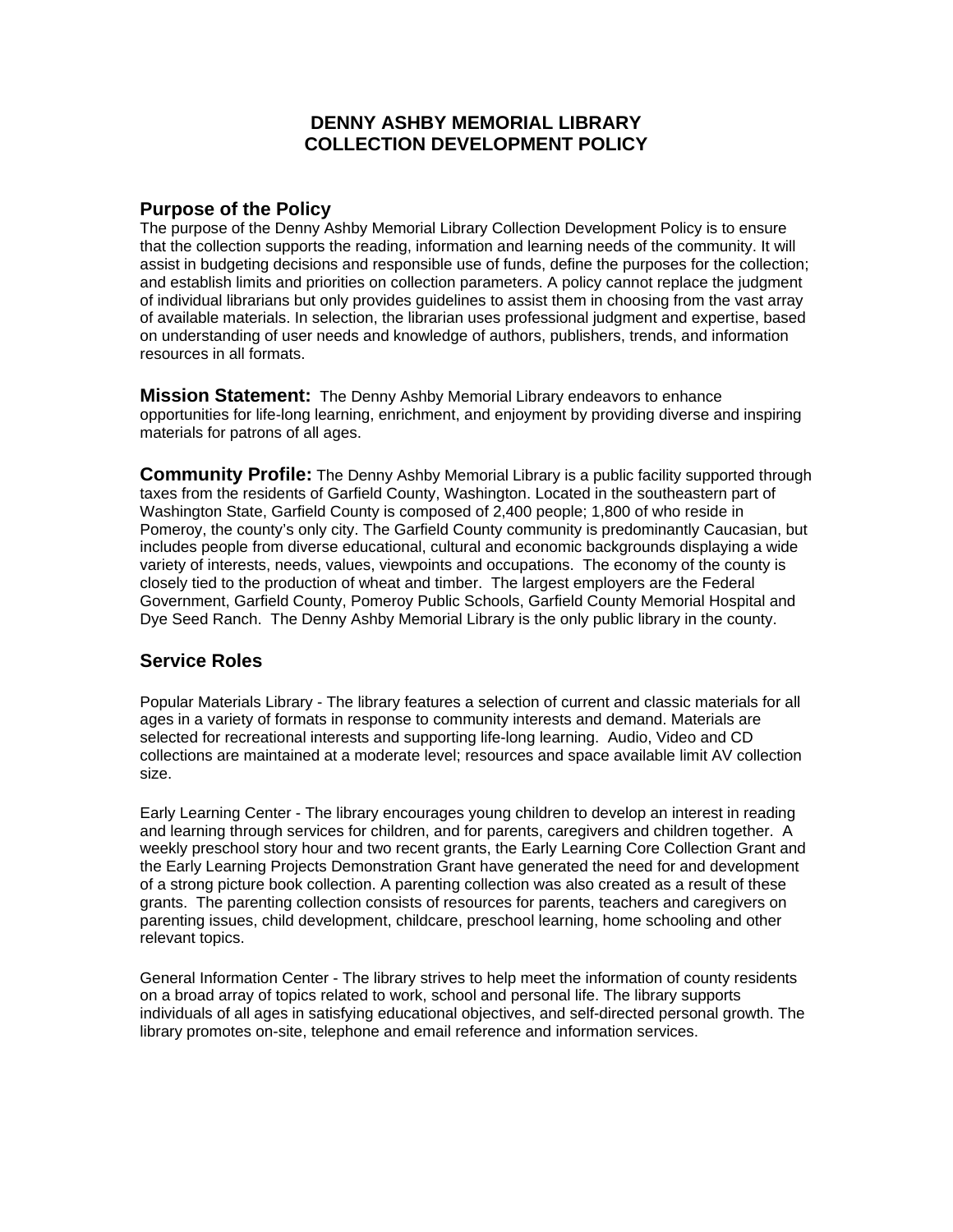## **DENNY ASHBY MEMORIAL LIBRARY COLLECTION DEVELOPMENT POLICY**

## **Purpose of the Policy**

The purpose of the Denny Ashby Memorial Library Collection Development Policy is to ensure that the collection supports the reading, information and learning needs of the community. It will assist in budgeting decisions and responsible use of funds, define the purposes for the collection; and establish limits and priorities on collection parameters. A policy cannot replace the judgment of individual librarians but only provides guidelines to assist them in choosing from the vast array of available materials. In selection, the librarian uses professional judgment and expertise, based on understanding of user needs and knowledge of authors, publishers, trends, and information resources in all formats.

**Mission Statement:** The Denny Ashby Memorial Library endeavors to enhance opportunities for life-long learning, enrichment, and enjoyment by providing diverse and inspiring materials for patrons of all ages.

**Community Profile:** The Denny Ashby Memorial Library is a public facility supported through taxes from the residents of Garfield County, Washington. Located in the southeastern part of Washington State, Garfield County is composed of 2,400 people; 1,800 of who reside in Pomeroy, the county's only city. The Garfield County community is predominantly Caucasian, but includes people from diverse educational, cultural and economic backgrounds displaying a wide variety of interests, needs, values, viewpoints and occupations. The economy of the county is closely tied to the production of wheat and timber. The largest employers are the Federal Government, Garfield County, Pomeroy Public Schools, Garfield County Memorial Hospital and Dye Seed Ranch. The Denny Ashby Memorial Library is the only public library in the county.

# **Service Roles**

Popular Materials Library - The library features a selection of current and classic materials for all ages in a variety of formats in response to community interests and demand. Materials are selected for recreational interests and supporting life-long learning. Audio, Video and CD collections are maintained at a moderate level; resources and space available limit AV collection size.

Early Learning Center - The library encourages young children to develop an interest in reading and learning through services for children, and for parents, caregivers and children together. A weekly preschool story hour and two recent grants, the Early Learning Core Collection Grant and the Early Learning Projects Demonstration Grant have generated the need for and development of a strong picture book collection. A parenting collection was also created as a result of these grants. The parenting collection consists of resources for parents, teachers and caregivers on parenting issues, child development, childcare, preschool learning, home schooling and other relevant topics.

General Information Center - The library strives to help meet the information of county residents on a broad array of topics related to work, school and personal life. The library supports individuals of all ages in satisfying educational objectives, and self-directed personal growth. The library promotes on-site, telephone and email reference and information services.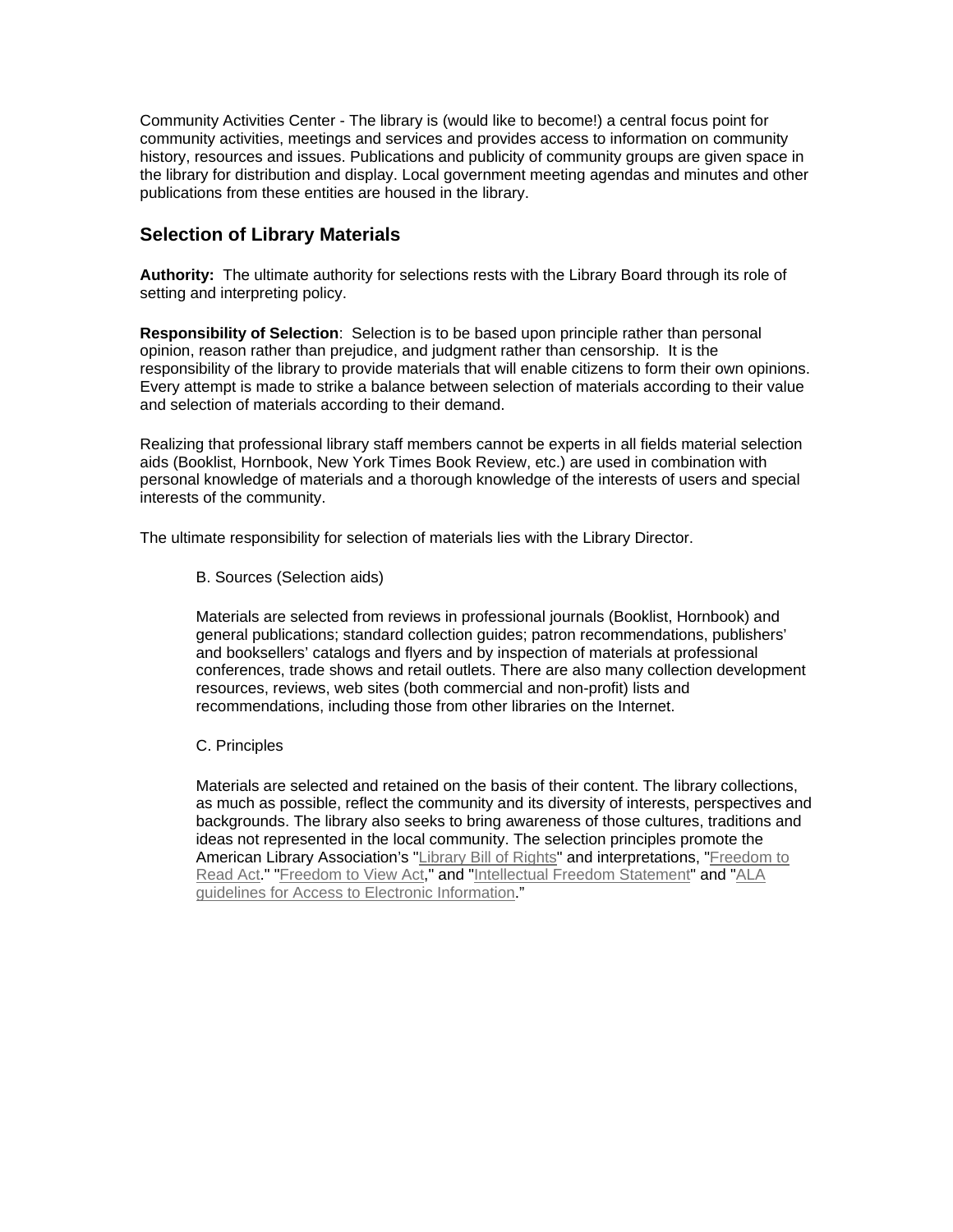Community Activities Center - The library is (would like to become!) a central focus point for community activities, meetings and services and provides access to information on community history, resources and issues. Publications and publicity of community groups are given space in the library for distribution and display. Local government meeting agendas and minutes and other publications from these entities are housed in the library.

## **Selection of Library Materials**

**Authority:** The ultimate authority for selections rests with the Library Board through its role of setting and interpreting policy.

**Responsibility of Selection**: Selection is to be based upon principle rather than personal opinion, reason rather than prejudice, and judgment rather than censorship. It is the responsibility of the library to provide materials that will enable citizens to form their own opinions. Every attempt is made to strike a balance between selection of materials according to their value and selection of materials according to their demand.

Realizing that professional library staff members cannot be experts in all fields material selection aids (Booklist, Hornbook, New York Times Book Review, etc.) are used in combination with personal knowledge of materials and a thorough knowledge of the interests of users and special interests of the community.

The ultimate responsibility for selection of materials lies with the Library Director.

B. Sources (Selection aids)

Materials are selected from reviews in professional journals (Booklist, Hornbook) and general publications; standard collection guides; patron recommendations, publishers' and booksellers' catalogs and flyers and by inspection of materials at professional conferences, trade shows and retail outlets. There are also many collection development resources, reviews, web sites (both commercial and non-profit) lists and recommendations, including those from other libraries on the Internet.

C. Principles

Materials are selected and retained on the basis of their content. The library collections, as much as possible, reflect the community and its diversity of interests, perspectives and backgrounds. The library also seeks to bring awareness of those cultures, traditions and ideas not represented in the local community. The selection principles promote the American Library Association's ["Library Bill of Rights"](http://www.ala.org/work/freedom/lbr.html) and interpretations, ["Freedom to](http://www.ala.org/alaorg/oif/freeread.html)  [Read Act](http://www.ala.org/alaorg/oif/freeread.html)." "[Freedom to View Act,](http://www.ala.org/alaorg/oif/freedomtoview.html)" and "[Intellectual Freedom Statement"](http://www.wla.org/ifstatmt.pdf) and ["ALA](http://www.ala.org/alaorg/oif/electacc.html)  [guidelines for Access to Electronic Information](http://www.ala.org/alaorg/oif/electacc.html)."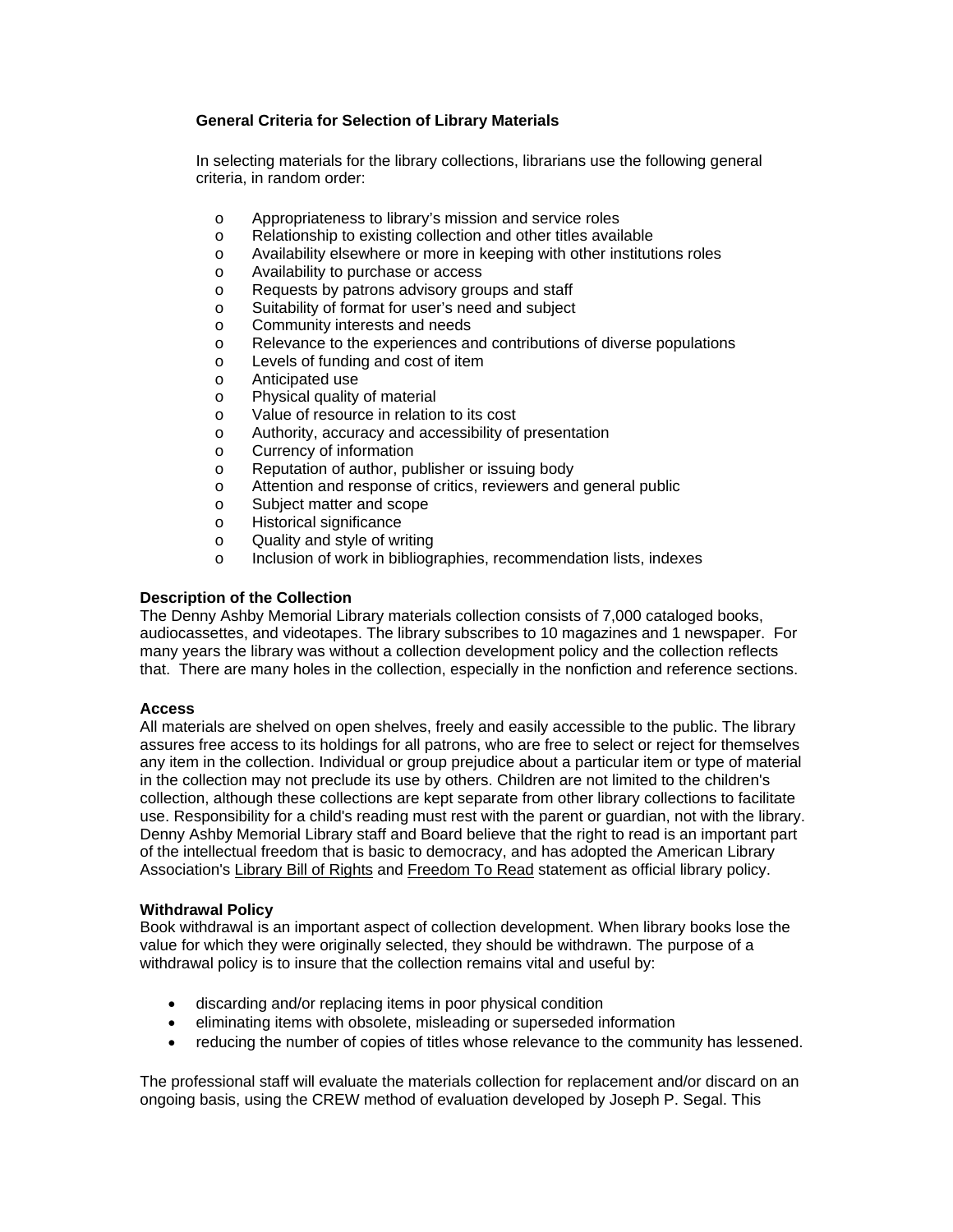### **General Criteria for Selection of Library Materials**

In selecting materials for the library collections, librarians use the following general criteria, in random order:

- o Appropriateness to library's mission and service roles
- o Relationship to existing collection and other titles available
- o Availability elsewhere or more in keeping with other institutions roles
- o Availability to purchase or access
- o Requests by patrons advisory groups and staff
- o Suitability of format for user's need and subject
- o Community interests and needs
- o Relevance to the experiences and contributions of diverse populations
- o Levels of funding and cost of item
- o Anticipated use
- o Physical quality of material
- o Value of resource in relation to its cost
- o Authority, accuracy and accessibility of presentation
- o Currency of information
- o Reputation of author, publisher or issuing body
- o Attention and response of critics, reviewers and general public
- o Subject matter and scope
- o Historical significance
- o Quality and style of writing
- o Inclusion of work in bibliographies, recommendation lists, indexes

#### **Description of the Collection**

The Denny Ashby Memorial Library materials collection consists of 7,000 cataloged books, audiocassettes, and videotapes. The library subscribes to 10 magazines and 1 newspaper. For many years the library was without a collection development policy and the collection reflects that. There are many holes in the collection, especially in the nonfiction and reference sections.

#### **Access**

All materials are shelved on open shelves, freely and easily accessible to the public. The library assures free access to its holdings for all patrons, who are free to select or reject for themselves any item in the collection. Individual or group prejudice about a particular item or type of material in the collection may not preclude its use by others. Children are not limited to the children's collection, although these collections are kept separate from other library collections to facilitate use. Responsibility for a child's reading must rest with the parent or guardian, not with the library. Denny Ashby Memorial Library staff and Board believe that the right to read is an important part of the intellectual freedom that is basic to democracy, and has adopted the American Library Association's [Library Bill of Rights](http://www.ci.eugene.or.us/library/hours_locations_cards/bill_rights.html) and [Freedom To Read](http://www.ci.eugene.or.us/library/hours_locations_cards/freedom.html) statement as official library policy.

#### **Withdrawal Policy**

Book withdrawal is an important aspect of collection development. When library books lose the value for which they were originally selected, they should be withdrawn. The purpose of a withdrawal policy is to insure that the collection remains vital and useful by:

- discarding and/or replacing items in poor physical condition
- eliminating items with obsolete, misleading or superseded information
- reducing the number of copies of titles whose relevance to the community has lessened.

The professional staff will evaluate the materials collection for replacement and/or discard on an ongoing basis, using the CREW method of evaluation developed by Joseph P. Segal. This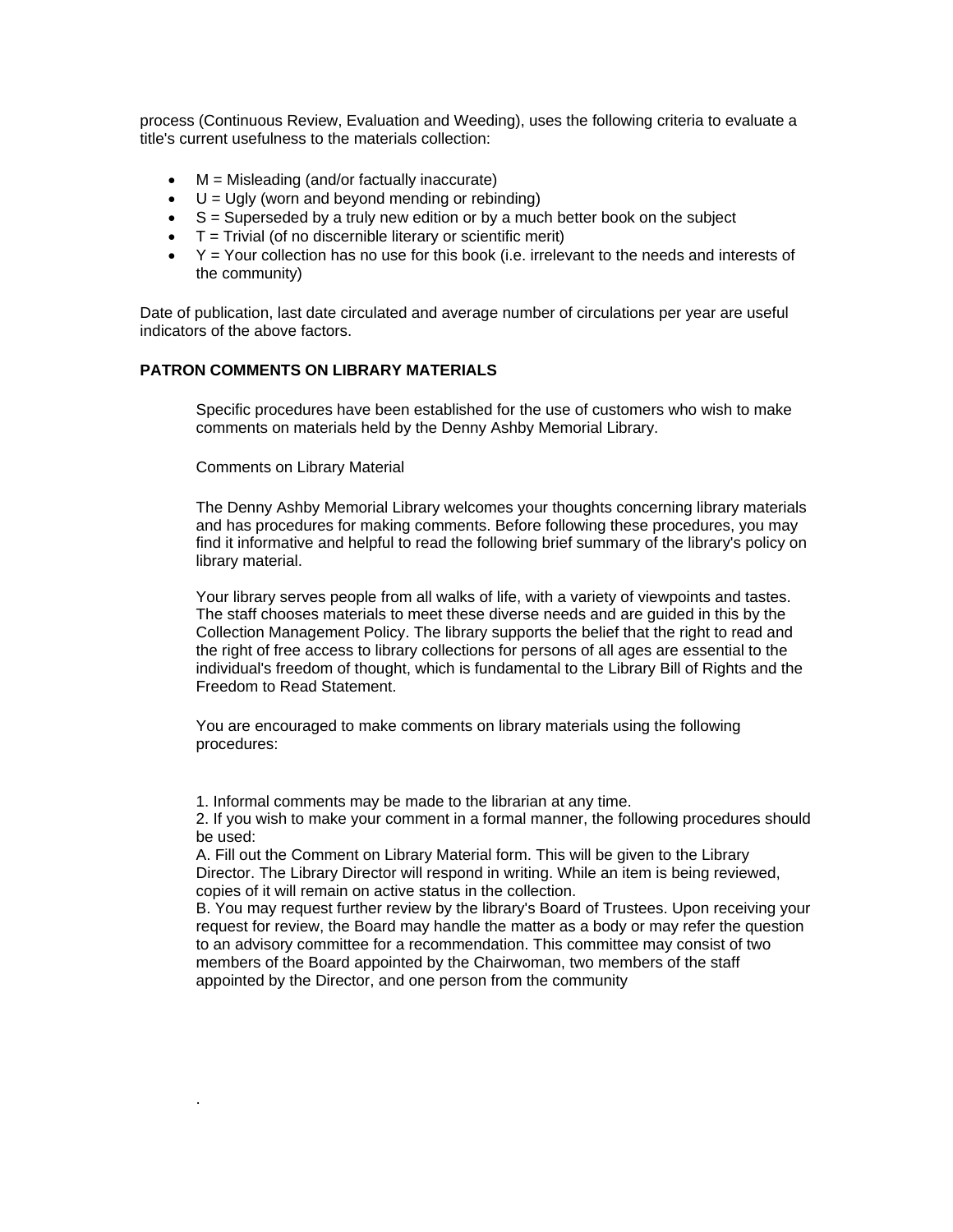process (Continuous Review, Evaluation and Weeding), uses the following criteria to evaluate a title's current usefulness to the materials collection:

- $\bullet$   $M =$  Misleading (and/or factually inaccurate)
- $\bullet$  U = Ugly (worn and beyond mending or rebinding)
- $\bullet$  S = Superseded by a truly new edition or by a much better book on the subject
- $\bullet$   $\top$  = Trivial (of no discernible literary or scientific merit)
- $\bullet$   $\gamma$  = Your collection has no use for this book (i.e. irrelevant to the needs and interests of the community)

Date of publication, last date circulated and average number of circulations per year are useful indicators of the above factors.

#### **PATRON COMMENTS ON LIBRARY MATERIALS**

Specific procedures have been established for the use of customers who wish to make comments on materials held by the Denny Ashby Memorial Library.

Comments on Library Material

.

The Denny Ashby Memorial Library welcomes your thoughts concerning library materials and has procedures for making comments. Before following these procedures, you may find it informative and helpful to read the following brief summary of the library's policy on library material.

Your library serves people from all walks of life, with a variety of viewpoints and tastes. The staff chooses materials to meet these diverse needs and are guided in this by the Collection Management Policy. The library supports the belief that the right to read and the right of free access to library collections for persons of all ages are essential to the individual's freedom of thought, which is fundamental to the Library Bill of Rights and the Freedom to Read Statement.

You are encouraged to make comments on library materials using the following procedures:

1. Informal comments may be made to the librarian at any time.

2. If you wish to make your comment in a formal manner, the following procedures should be used:

A. Fill out the Comment on Library Material form. This will be given to the Library Director. The Library Director will respond in writing. While an item is being reviewed, copies of it will remain on active status in the collection.

B. You may request further review by the library's Board of Trustees. Upon receiving your request for review, the Board may handle the matter as a body or may refer the question to an advisory committee for a recommendation. This committee may consist of two members of the Board appointed by the Chairwoman, two members of the staff appointed by the Director, and one person from the community